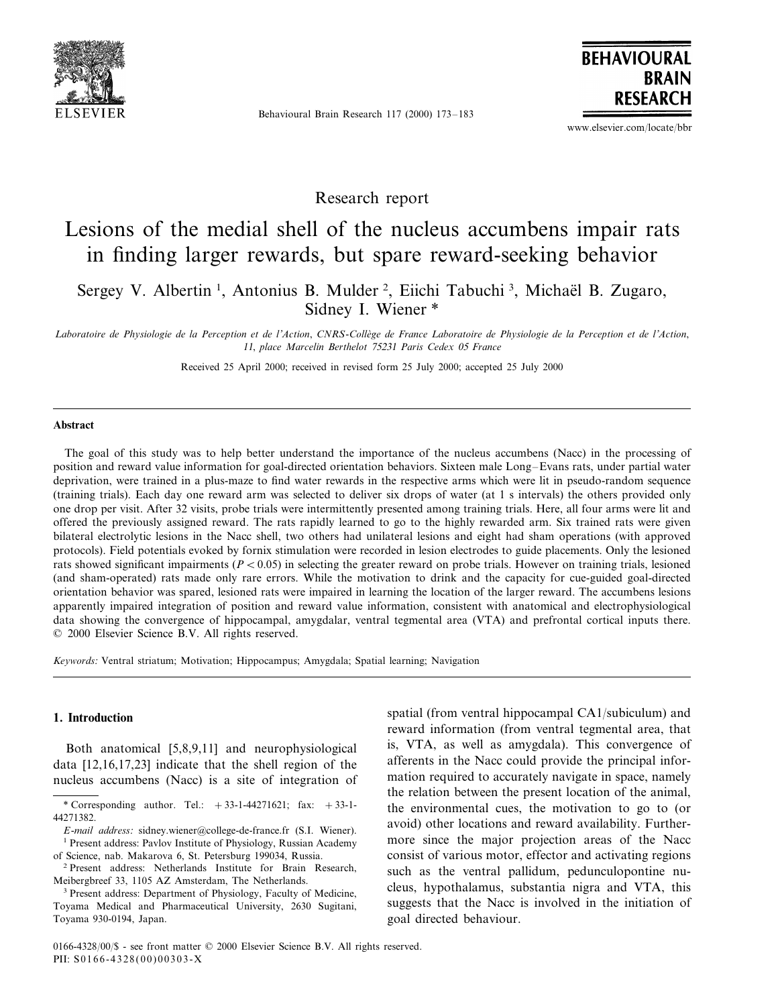

Behavioural Brain Research 117 (2000) 173–183

**BEHAVIOURAL BRAIN RESEARCH** 

www.elsevier.com/locate/bbr

# Research report

# Lesions of the medial shell of the nucleus accumbens impair rats in finding larger rewards, but spare reward-seeking behavior

# Sergey V. Albertin<sup>1</sup>, Antonius B. Mulder<sup>2</sup>, Eiichi Tabuchi<sup>3</sup>, Michaël B. Zugaro, Sidney I. Wiener \*

*Laboratoire de Physiologie de la Perception et de l*'*Action*, *CNRS*-*Colle`ge de France Laboratoire de Physiologie de la Perception et de l*'*Action*, 11, *place Marcelin Berthelot* 75231 *Paris Cedex* 05 *France*

Received 25 April 2000; received in revised form 25 July 2000; accepted 25 July 2000

#### **Abstract**

The goal of this study was to help better understand the importance of the nucleus accumbens (Nacc) in the processing of position and reward value information for goal-directed orientation behaviors. Sixteen male Long–Evans rats, under partial water deprivation, were trained in a plus-maze to find water rewards in the respective arms which were lit in pseudo-random sequence (training trials). Each day one reward arm was selected to deliver six drops of water (at 1 s intervals) the others provided only one drop per visit. After 32 visits, probe trials were intermittently presented among training trials. Here, all four arms were lit and offered the previously assigned reward. The rats rapidly learned to go to the highly rewarded arm. Six trained rats were given bilateral electrolytic lesions in the Nacc shell, two others had unilateral lesions and eight had sham operations (with approved protocols). Field potentials evoked by fornix stimulation were recorded in lesion electrodes to guide placements. Only the lesioned rats showed significant impairments ( $P < 0.05$ ) in selecting the greater reward on probe trials. However on training trials, lesioned (and sham-operated) rats made only rare errors. While the motivation to drink and the capacity for cue-guided goal-directed orientation behavior was spared, lesioned rats were impaired in learning the location of the larger reward. The accumbens lesions apparently impaired integration of position and reward value information, consistent with anatomical and electrophysiological data showing the convergence of hippocampal, amygdalar, ventral tegmental area (VTA) and prefrontal cortical inputs there. © 2000 Elsevier Science B.V. All rights reserved.

*Keywords*: Ventral striatum; Motivation; Hippocampus; Amygdala; Spatial learning; Navigation

### **1. Introduction**

Both anatomical [5,8,9,11] and neurophysiological data [12,16,17,23] indicate that the shell region of the nucleus accumbens (Nacc) is a site of integration of spatial (from ventral hippocampal CA1/subiculum) and reward information (from ventral tegmental area, that is, VTA, as well as amygdala). This convergence of afferents in the Nacc could provide the principal information required to accurately navigate in space, namely the relation between the present location of the animal, the environmental cues, the motivation to go to (or avoid) other locations and reward availability. Furthermore since the major projection areas of the Nacc consist of various motor, effector and activating regions such as the ventral pallidum, pedunculopontine nucleus, hypothalamus, substantia nigra and VTA, this suggests that the Nacc is involved in the initiation of goal directed behaviour.

<sup>\*</sup> Corresponding author. Tel.: +33-1-44271621; fax: +33-1- 44271382.

*E*-*mail address*: sidney.wiener@college-de-france.fr (S.I. Wiener). <sup>1</sup> Present address: Pavlov Institute of Physiology, Russian Academy of Science, nab. Makarova 6, St. Petersburg 199034, Russia.

<sup>2</sup> Present address: Netherlands Institute for Brain Research, Meibergbreef 33, 1105 AZ Amsterdam, The Netherlands.

<sup>3</sup> Present address: Department of Physiology, Faculty of Medicine, Toyama Medical and Pharmaceutical University, 2630 Sugitani, Toyama 930-0194, Japan.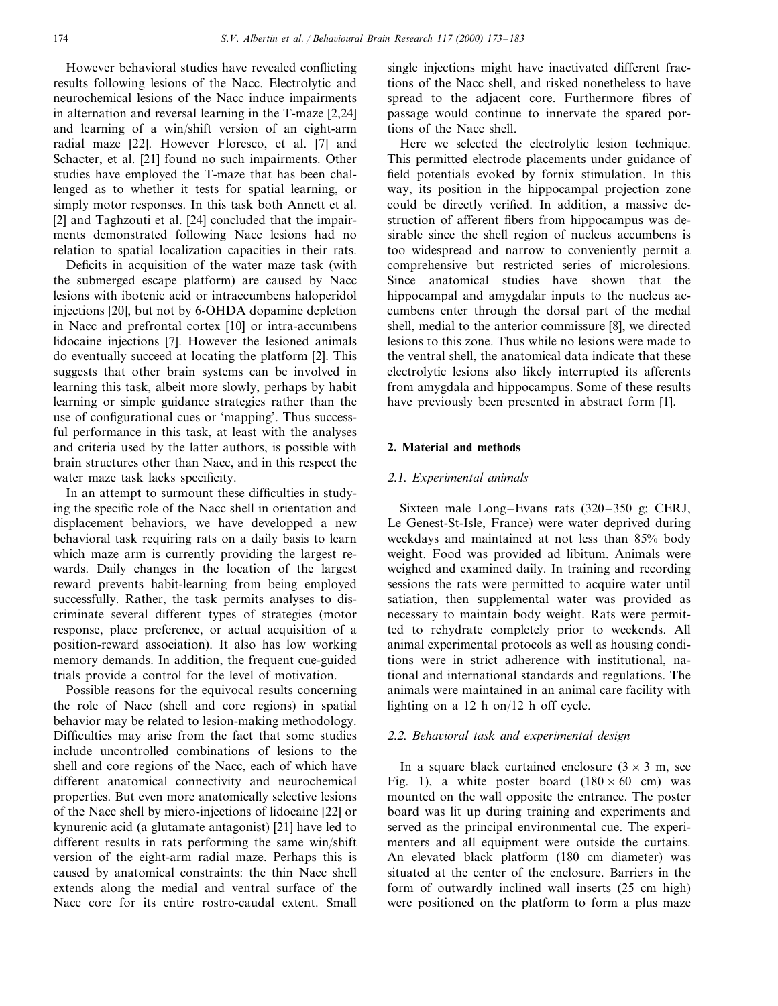However behavioral studies have revealed conflicting results following lesions of the Nacc. Electrolytic and neurochemical lesions of the Nacc induce impairments in alternation and reversal learning in the T-maze [2,24] and learning of a win/shift version of an eight-arm radial maze [22]. However Floresco, et al. [7] and Schacter, et al. [21] found no such impairments. Other studies have employed the T-maze that has been challenged as to whether it tests for spatial learning, or simply motor responses. In this task both Annett et al. [2] and Taghzouti et al. [24] concluded that the impairments demonstrated following Nacc lesions had no relation to spatial localization capacities in their rats.

Deficits in acquisition of the water maze task (with the submerged escape platform) are caused by Nacc lesions with ibotenic acid or intraccumbens haloperidol injections [20], but not by 6-OHDA dopamine depletion in Nacc and prefrontal cortex [10] or intra-accumbens lidocaine injections [7]. However the lesioned animals do eventually succeed at locating the platform [2]. This suggests that other brain systems can be involved in learning this task, albeit more slowly, perhaps by habit learning or simple guidance strategies rather than the use of configurational cues or 'mapping'. Thus successful performance in this task, at least with the analyses and criteria used by the latter authors, is possible with brain structures other than Nacc, and in this respect the water maze task lacks specificity.

In an attempt to surmount these difficulties in studying the specific role of the Nacc shell in orientation and displacement behaviors, we have developped a new behavioral task requiring rats on a daily basis to learn which maze arm is currently providing the largest rewards. Daily changes in the location of the largest reward prevents habit-learning from being employed successfully. Rather, the task permits analyses to discriminate several different types of strategies (motor response, place preference, or actual acquisition of a position-reward association). It also has low working memory demands. In addition, the frequent cue-guided trials provide a control for the level of motivation.

Possible reasons for the equivocal results concerning the role of Nacc (shell and core regions) in spatial behavior may be related to lesion-making methodology. Difficulties may arise from the fact that some studies include uncontrolled combinations of lesions to the shell and core regions of the Nacc, each of which have different anatomical connectivity and neurochemical properties. But even more anatomically selective lesions of the Nacc shell by micro-injections of lidocaine [22] or kynurenic acid (a glutamate antagonist) [21] have led to different results in rats performing the same win/shift version of the eight-arm radial maze. Perhaps this is caused by anatomical constraints: the thin Nacc shell extends along the medial and ventral surface of the Nacc core for its entire rostro-caudal extent. Small

single injections might have inactivated different fractions of the Nacc shell, and risked nonetheless to have spread to the adjacent core. Furthermore fibres of passage would continue to innervate the spared portions of the Nacc shell.

Here we selected the electrolytic lesion technique. This permitted electrode placements under guidance of field potentials evoked by fornix stimulation. In this way, its position in the hippocampal projection zone could be directly verified. In addition, a massive destruction of afferent fibers from hippocampus was desirable since the shell region of nucleus accumbens is too widespread and narrow to conveniently permit a comprehensive but restricted series of microlesions. Since anatomical studies have shown that the hippocampal and amygdalar inputs to the nucleus accumbens enter through the dorsal part of the medial shell, medial to the anterior commissure [8], we directed lesions to this zone. Thus while no lesions were made to the ventral shell, the anatomical data indicate that these electrolytic lesions also likely interrupted its afferents from amygdala and hippocampus. Some of these results have previously been presented in abstract form [1].

## **2. Material and methods**

### <sup>2</sup>.1. *Experimental animals*

Sixteen male Long–Evans rats (320–350 g; CERJ, Le Genest-St-Isle, France) were water deprived during weekdays and maintained at not less than 85% body weight. Food was provided ad libitum. Animals were weighed and examined daily. In training and recording sessions the rats were permitted to acquire water until satiation, then supplemental water was provided as necessary to maintain body weight. Rats were permitted to rehydrate completely prior to weekends. All animal experimental protocols as well as housing conditions were in strict adherence with institutional, national and international standards and regulations. The animals were maintained in an animal care facility with lighting on a 12 h on/12 h off cycle.

### 2.2. Behavioral task and experimental design

In a square black curtained enclosure  $(3 \times 3 \text{ m}, \text{ see})$ Fig. 1), a white poster board  $(180 \times 60$  cm) was mounted on the wall opposite the entrance. The poster board was lit up during training and experiments and served as the principal environmental cue. The experimenters and all equipment were outside the curtains. An elevated black platform (180 cm diameter) was situated at the center of the enclosure. Barriers in the form of outwardly inclined wall inserts (25 cm high) were positioned on the platform to form a plus maze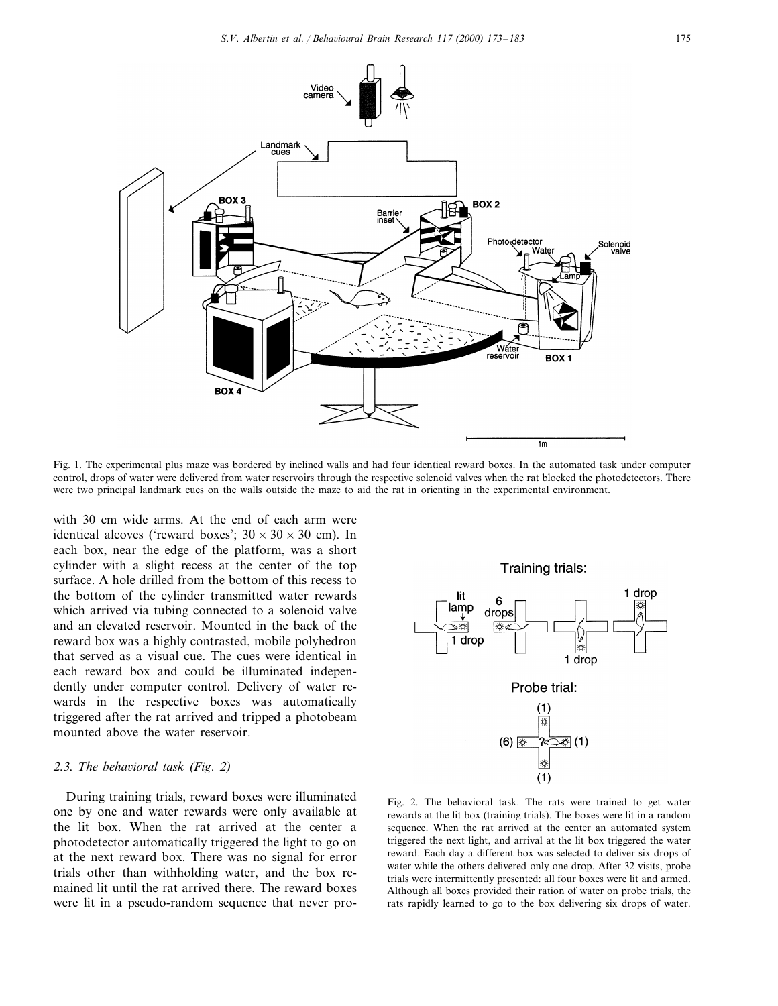

Fig. 1. The experimental plus maze was bordered by inclined walls and had four identical reward boxes. In the automated task under computer control, drops of water were delivered from water reservoirs through the respective solenoid valves when the rat blocked the photodetectors. There were two principal landmark cues on the walls outside the maze to aid the rat in orienting in the experimental environment.

with 30 cm wide arms. At the end of each arm were identical alcoves ('reward boxes';  $30 \times 30 \times 30$  cm). In each box, near the edge of the platform, was a short cylinder with a slight recess at the center of the top surface. A hole drilled from the bottom of this recess to the bottom of the cylinder transmitted water rewards which arrived via tubing connected to a solenoid valve and an elevated reservoir. Mounted in the back of the reward box was a highly contrasted, mobile polyhedron that served as a visual cue. The cues were identical in each reward box and could be illuminated independently under computer control. Delivery of water rewards in the respective boxes was automatically triggered after the rat arrived and tripped a photobeam mounted above the water reservoir.

## <sup>2</sup>.3. *The beha*6*ioral task* (*Fig*. 2)

During training trials, reward boxes were illuminated one by one and water rewards were only available at the lit box. When the rat arrived at the center a photodetector automatically triggered the light to go on at the next reward box. There was no signal for error trials other than withholding water, and the box remained lit until the rat arrived there. The reward boxes were lit in a pseudo-random sequence that never pro-

# Training trials:



Fig. 2. The behavioral task. The rats were trained to get water rewards at the lit box (training trials). The boxes were lit in a random sequence. When the rat arrived at the center an automated system triggered the next light, and arrival at the lit box triggered the water reward. Each day a different box was selected to deliver six drops of water while the others delivered only one drop. After 32 visits, probe trials were intermittently presented: all four boxes were lit and armed. Although all boxes provided their ration of water on probe trials, the rats rapidly learned to go to the box delivering six drops of water.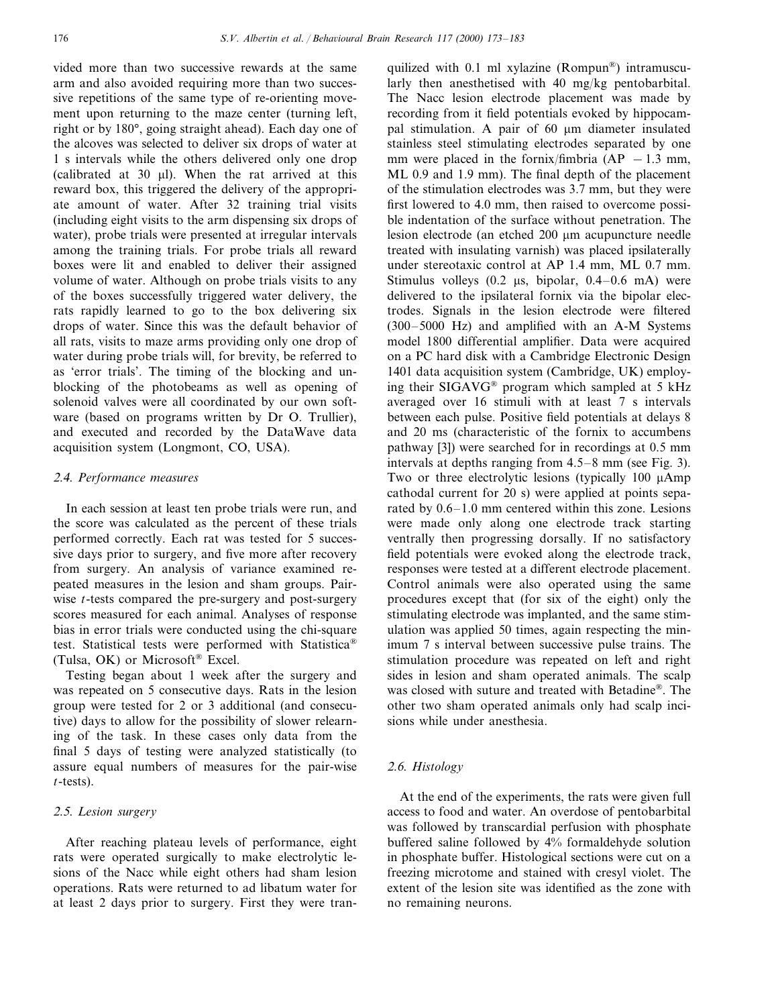vided more than two successive rewards at the same arm and also avoided requiring more than two successive repetitions of the same type of re-orienting movement upon returning to the maze center (turning left, right or by 180°, going straight ahead). Each day one of the alcoves was selected to deliver six drops of water at 1 s intervals while the others delivered only one drop (calibrated at  $30 \text{ }\mu\text{l}$ ). When the rat arrived at this reward box, this triggered the delivery of the appropriate amount of water. After 32 training trial visits (including eight visits to the arm dispensing six drops of water), probe trials were presented at irregular intervals among the training trials. For probe trials all reward boxes were lit and enabled to deliver their assigned volume of water. Although on probe trials visits to any of the boxes successfully triggered water delivery, the rats rapidly learned to go to the box delivering six drops of water. Since this was the default behavior of all rats, visits to maze arms providing only one drop of water during probe trials will, for brevity, be referred to as 'error trials'. The timing of the blocking and unblocking of the photobeams as well as opening of solenoid valves were all coordinated by our own software (based on programs written by Dr O. Trullier), and executed and recorded by the DataWave data acquisition system (Longmont, CO, USA).

### <sup>2</sup>.4. *Performance measures*

In each session at least ten probe trials were run, and the score was calculated as the percent of these trials performed correctly. Each rat was tested for 5 successive days prior to surgery, and five more after recovery from surgery. An analysis of variance examined repeated measures in the lesion and sham groups. Pairwise *t*-tests compared the pre-surgery and post-surgery scores measured for each animal. Analyses of response bias in error trials were conducted using the chi-square test. Statistical tests were performed with Statistica® (Tulsa, OK) or Microsoft® Excel.

Testing began about 1 week after the surgery and was repeated on 5 consecutive days. Rats in the lesion group were tested for 2 or 3 additional (and consecutive) days to allow for the possibility of slower relearning of the task. In these cases only data from the final 5 days of testing were analyzed statistically (to assure equal numbers of measures for the pair-wise *t*-tests).

#### <sup>2</sup>.5. *Lesion surgery*

After reaching plateau levels of performance, eight rats were operated surgically to make electrolytic lesions of the Nacc while eight others had sham lesion operations. Rats were returned to ad libatum water for at least 2 days prior to surgery. First they were tranquilized with 0.1 ml xylazine (Rompun®) intramuscularly then anesthetised with 40 mg/kg pentobarbital. The Nacc lesion electrode placement was made by recording from it field potentials evoked by hippocampal stimulation. A pair of 60 µm diameter insulated stainless steel stimulating electrodes separated by one mm were placed in the fornix/fimbria  $AP -1.3$  mm, ML 0.9 and 1.9 mm). The final depth of the placement of the stimulation electrodes was 3.7 mm, but they were first lowered to 4.0 mm, then raised to overcome possible indentation of the surface without penetration. The lesion electrode (an etched 200 µm acupuncture needle treated with insulating varnish) was placed ipsilaterally under stereotaxic control at AP 1.4 mm, ML 0.7 mm. Stimulus volleys  $(0.2 \mu s, bipolar, 0.4-0.6 \mu A)$  were delivered to the ipsilateral fornix via the bipolar electrodes. Signals in the lesion electrode were filtered (300–5000 Hz) and amplified with an A-M Systems model 1800 differential amplifier. Data were acquired on a PC hard disk with a Cambridge Electronic Design 1401 data acquisition system (Cambridge, UK) employing their SIGAVG® program which sampled at 5 kHz averaged over 16 stimuli with at least 7 s intervals between each pulse. Positive field potentials at delays 8 and 20 ms (characteristic of the fornix to accumbens pathway [3]) were searched for in recordings at 0.5 mm intervals at depths ranging from 4.5–8 mm (see Fig. 3). Two or three electrolytic lesions (typically  $100 \mu \text{Amp}$ ) cathodal current for 20 s) were applied at points separated by 0.6–1.0 mm centered within this zone. Lesions were made only along one electrode track starting ventrally then progressing dorsally. If no satisfactory field potentials were evoked along the electrode track, responses were tested at a different electrode placement. Control animals were also operated using the same procedures except that (for six of the eight) only the stimulating electrode was implanted, and the same stimulation was applied 50 times, again respecting the minimum 7 s interval between successive pulse trains. The stimulation procedure was repeated on left and right sides in lesion and sham operated animals. The scalp was closed with suture and treated with Betadine®. The other two sham operated animals only had scalp incisions while under anesthesia.

# <sup>2</sup>.6. *Histology*

At the end of the experiments, the rats were given full access to food and water. An overdose of pentobarbital was followed by transcardial perfusion with phosphate buffered saline followed by 4% formaldehyde solution in phosphate buffer. Histological sections were cut on a freezing microtome and stained with cresyl violet. The extent of the lesion site was identified as the zone with no remaining neurons.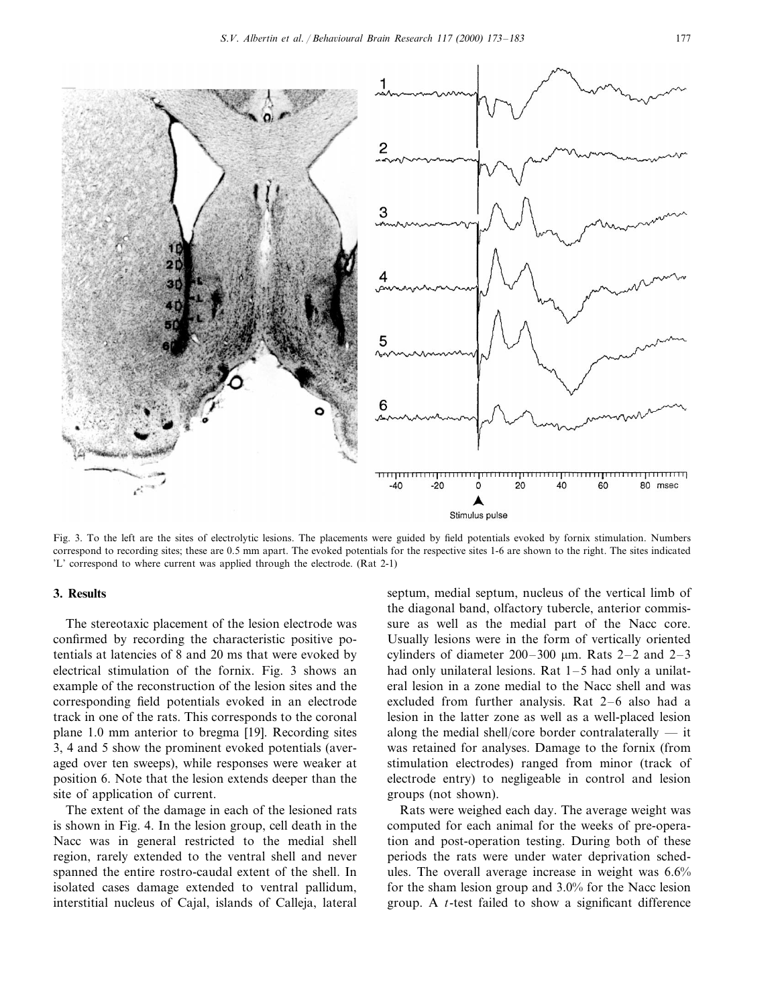

Fig. 3. To the left are the sites of electrolytic lesions. The placements were guided by field potentials evoked by fornix stimulation. Numbers correspond to recording sites; these are 0.5 mm apart. The evoked potentials for the respective sites 1-6 are shown to the right. The sites indicated 'L' correspond to where current was applied through the electrode. (Rat 2-1)

## **3. Results**

The stereotaxic placement of the lesion electrode was confirmed by recording the characteristic positive potentials at latencies of 8 and 20 ms that were evoked by electrical stimulation of the fornix. Fig. 3 shows an example of the reconstruction of the lesion sites and the corresponding field potentials evoked in an electrode track in one of the rats. This corresponds to the coronal plane 1.0 mm anterior to bregma [19]. Recording sites 3, 4 and 5 show the prominent evoked potentials (averaged over ten sweeps), while responses were weaker at position 6. Note that the lesion extends deeper than the site of application of current.

The extent of the damage in each of the lesioned rats is shown in Fig. 4. In the lesion group, cell death in the Nacc was in general restricted to the medial shell region, rarely extended to the ventral shell and never spanned the entire rostro-caudal extent of the shell. In isolated cases damage extended to ventral pallidum, interstitial nucleus of Cajal, islands of Calleja, lateral

septum, medial septum, nucleus of the vertical limb of the diagonal band, olfactory tubercle, anterior commissure as well as the medial part of the Nacc core. Usually lesions were in the form of vertically oriented cylinders of diameter  $200-300$  µm. Rats  $2-2$  and  $2-3$ had only unilateral lesions. Rat 1–5 had only a unilateral lesion in a zone medial to the Nacc shell and was excluded from further analysis. Rat 2–6 also had a lesion in the latter zone as well as a well-placed lesion along the medial shell/core border contralaterally  $-$  it was retained for analyses. Damage to the fornix (from stimulation electrodes) ranged from minor (track of electrode entry) to negligeable in control and lesion groups (not shown).

Rats were weighed each day. The average weight was computed for each animal for the weeks of pre-operation and post-operation testing. During both of these periods the rats were under water deprivation schedules. The overall average increase in weight was 6.6% for the sham lesion group and 3.0% for the Nacc lesion group. A *t*-test failed to show a significant difference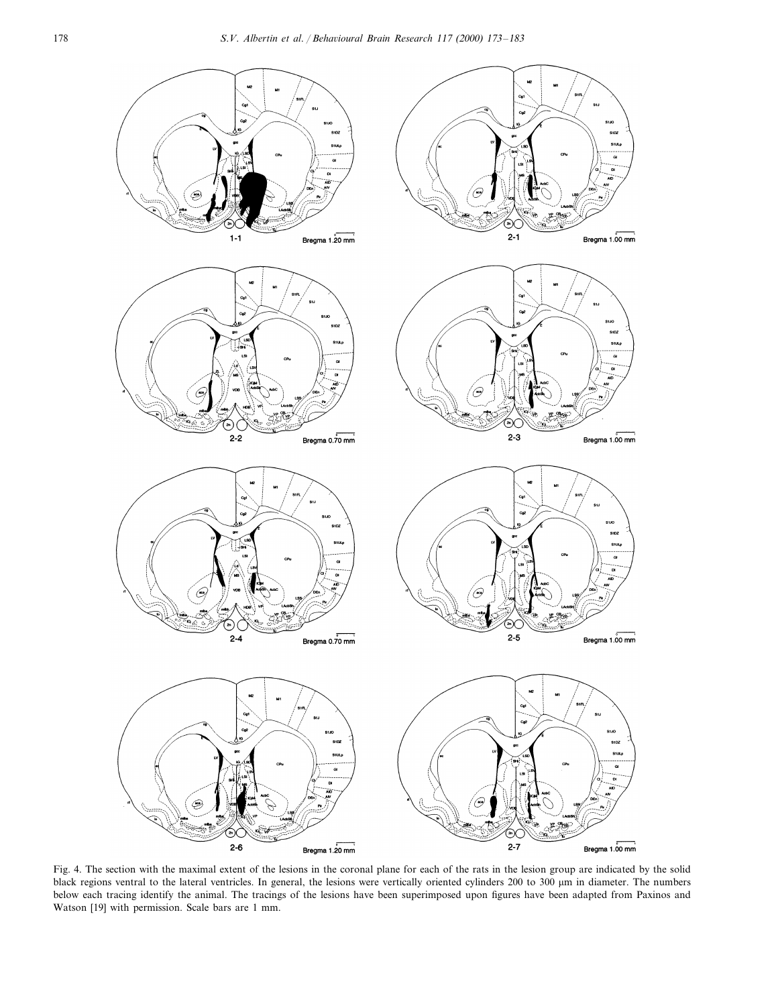

Fig. 4. The section with the maximal extent of the lesions in the coronal plane for each of the rats in the lesion group are indicated by the solid black regions ventral to the lateral ventricles. In general, the lesions were vertically oriented cylinders 200 to 300 mm in diameter. The numbers below each tracing identify the animal. The tracings of the lesions have been superimposed upon figures have been adapted from Paxinos and Watson [19] with permission. Scale bars are 1 mm.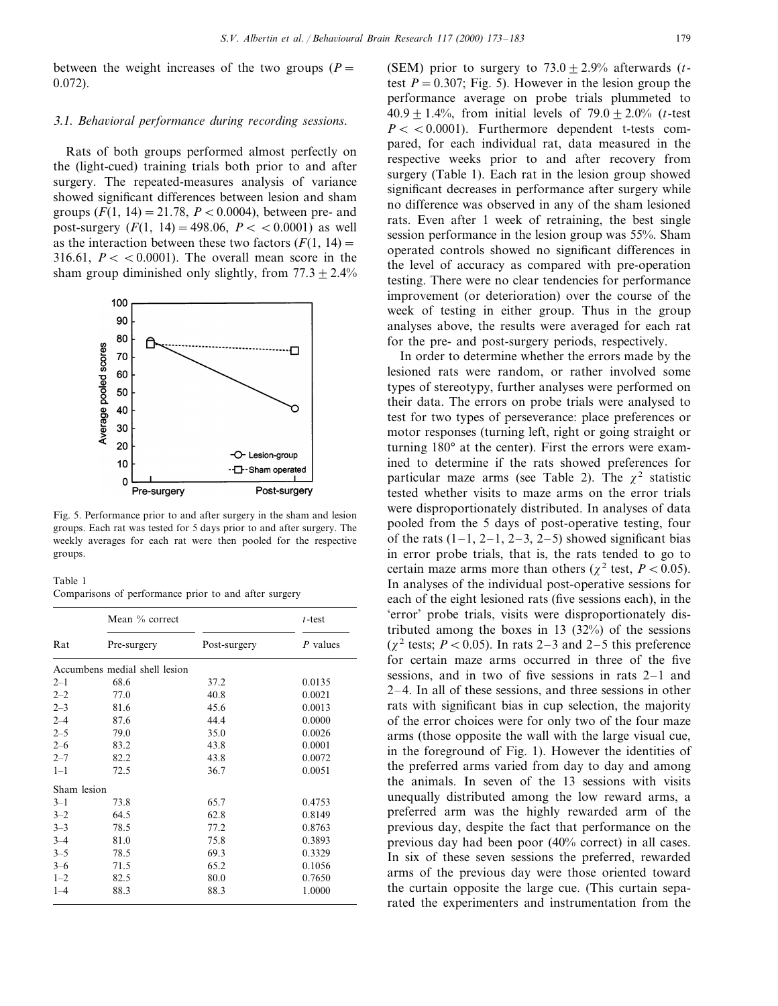between the weight increases of the two groups  $(P =$ 0.072).

### <sup>3</sup>.1. *Beha*6*ioral performance during recording sessions*.

Rats of both groups performed almost perfectly on the (light-cued) training trials both prior to and after surgery. The repeated-measures analysis of variance showed significant differences between lesion and sham groups  $(F(1, 14) = 21.78, P < 0.0004)$ , between pre- and post-surgery  $(F(1, 14) = 498.06, P < 0.0001)$  as well as the interaction between these two factors  $(F(1, 14))$ 316.61,  $P < 0.0001$ ). The overall mean score in the sham group diminished only slightly, from  $77.3 + 2.4\%$ 



Fig. 5. Performance prior to and after surgery in the sham and lesion groups. Each rat was tested for 5 days prior to and after surgery. The weekly averages for each rat were then pooled for the respective groups.

Table 1 Comparisons of performance prior to and after surgery

|             | Mean % correct                |              | $t$ -test<br>$P$ values |  |
|-------------|-------------------------------|--------------|-------------------------|--|
| Rat         | Pre-surgery                   | Post-surgery |                         |  |
|             | Accumbens medial shell lesion |              |                         |  |
| $2 - 1$     | 68.6                          | 37.2         | 0.0135                  |  |
| $2 - 2$     | 77.0                          | 40.8         | 0.0021                  |  |
| $2 - 3$     | 81.6                          | 45.6         | 0.0013                  |  |
| $2 - 4$     | 87.6                          | 44.4         | 0.0000                  |  |
| $2 - 5$     | 79.0                          | 35.0         | 0.0026                  |  |
| $2 - 6$     | 83.2                          | 43.8         | 0.0001                  |  |
| $2 - 7$     | 82.2                          | 43.8         | 0.0072                  |  |
| $1 - 1$     | 72.5                          | 36.7         | 0.0051                  |  |
| Sham lesion |                               |              |                         |  |
| $3 - 1$     | 73.8                          | 65.7         | 0.4753                  |  |
| $3 - 2$     | 64.5                          | 62.8         | 0.8149                  |  |
| $3 - 3$     | 78.5                          | 77.2         | 0.8763                  |  |
| $3 - 4$     | 81.0                          | 75.8         | 0.3893                  |  |
| $3 - 5$     | 78.5                          | 69.3         | 0.3329                  |  |
| $3 - 6$     | 71.5                          | 65.2         | 0.1056                  |  |
| $1 - 2$     | 82.5                          | 80.0         | 0.7650                  |  |
| $1 - 4$     | 88.3                          | 88.3         | 1.0000                  |  |

(SEM) prior to surgery to  $73.0 \pm 2.9$ % afterwards (*t*test  $P = 0.307$ ; Fig. 5). However in the lesion group the performance average on probe trials plummeted to  $40.9 \pm 1.4\%$ , from initial levels of  $79.0 \pm 2.0\%$  (*t*-test  $P < 0.0001$ ). Furthermore dependent t-tests compared, for each individual rat, data measured in the respective weeks prior to and after recovery from surgery (Table 1). Each rat in the lesion group showed significant decreases in performance after surgery while no difference was observed in any of the sham lesioned rats. Even after 1 week of retraining, the best single session performance in the lesion group was 55%. Sham operated controls showed no significant differences in the level of accuracy as compared with pre-operation testing. There were no clear tendencies for performance improvement (or deterioration) over the course of the week of testing in either group. Thus in the group analyses above, the results were averaged for each rat for the pre- and post-surgery periods, respectively.

In order to determine whether the errors made by the lesioned rats were random, or rather involved some types of stereotypy, further analyses were performed on their data. The errors on probe trials were analysed to test for two types of perseverance: place preferences or motor responses (turning left, right or going straight or turning 180° at the center). First the errors were examined to determine if the rats showed preferences for particular maze arms (see Table 2). The  $\gamma^2$  statistic tested whether visits to maze arms on the error trials were disproportionately distributed. In analyses of data pooled from the 5 days of post-operative testing, four of the rats  $(1-1, 2-1, 2-3, 2-5)$  showed significant bias in error probe trials, that is, the rats tended to go to certain maze arms more than others ( $\chi^2$  test,  $P < 0.05$ ). In analyses of the individual post-operative sessions for each of the eight lesioned rats (five sessions each), in the 'error' probe trials, visits were disproportionately distributed among the boxes in 13 (32%) of the sessions ( $\chi^2$  tests; *P* < 0.05). In rats 2–3 and 2–5 this preference for certain maze arms occurred in three of the five sessions, and in two of five sessions in rats 2–1 and 2–4. In all of these sessions, and three sessions in other rats with significant bias in cup selection, the majority of the error choices were for only two of the four maze arms (those opposite the wall with the large visual cue, in the foreground of Fig. 1). However the identities of the preferred arms varied from day to day and among the animals. In seven of the 13 sessions with visits unequally distributed among the low reward arms, a preferred arm was the highly rewarded arm of the previous day, despite the fact that performance on the previous day had been poor (40% correct) in all cases. In six of these seven sessions the preferred, rewarded arms of the previous day were those oriented toward the curtain opposite the large cue. (This curtain separated the experimenters and instrumentation from the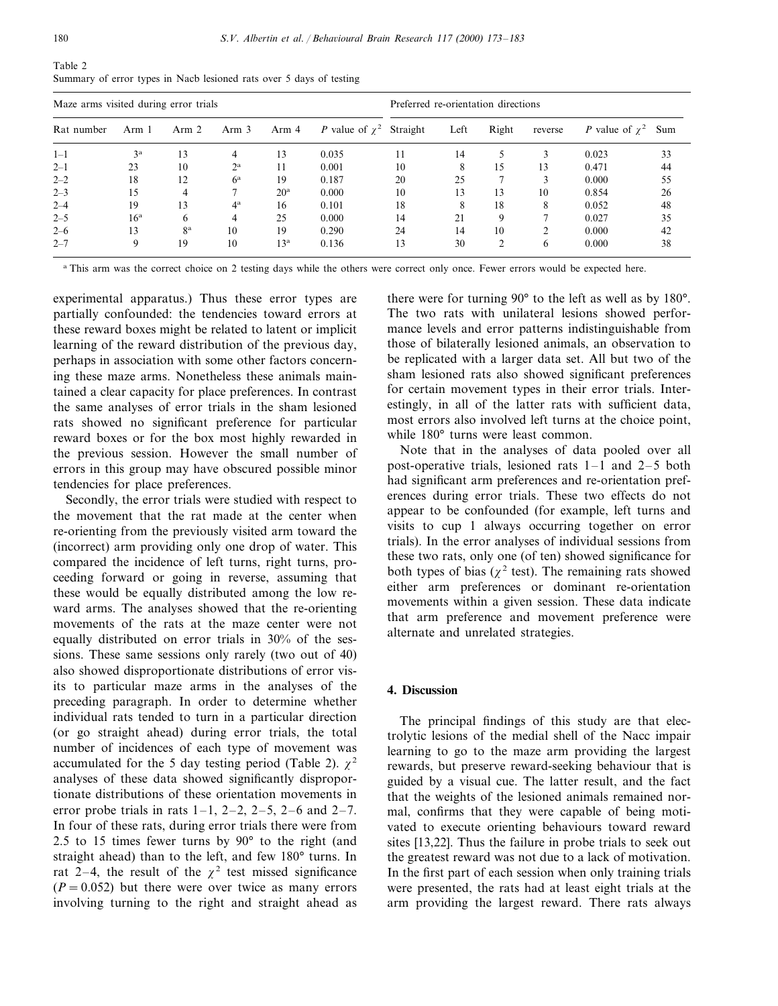| Table 2                                                             |  |  |  |  |  |
|---------------------------------------------------------------------|--|--|--|--|--|
| Summary of error types in Nacb lesioned rats over 5 days of testing |  |  |  |  |  |

| Maze arms visited during error trials |                 |                |             |                 |                              | Preferred re-orientation directions |      |               |         |                            |    |  |
|---------------------------------------|-----------------|----------------|-------------|-----------------|------------------------------|-------------------------------------|------|---------------|---------|----------------------------|----|--|
| Rat number                            | Arm 1           | Arm 2          | Arm 3       | Arm 4           | P value of $\chi^2$ Straight |                                     | Left | Right         | reverse | P value of $\chi^2$<br>Sum |    |  |
| $1 - 1$                               | 3 <sup>a</sup>  | 13             | 4           | 13              | 0.035                        | 11                                  | 14   |               |         | 0.023                      | 33 |  |
| $2 - 1$                               | 23              | 10             | $2^{\rm a}$ | 11              | 0.001                        | 10                                  | 8    | 15            | 13      | 0.471                      | 44 |  |
| $2 - 2$                               | 18              | 12             | $6^{\rm a}$ | 19              | 0.187                        | 20                                  | 25   |               |         | 0.000                      | 55 |  |
| $2 - 3$                               | 15              | 4              |             | 20 <sup>a</sup> | 0.000                        | 10                                  | 13   | 13            | 10      | 0.854                      | 26 |  |
| $2 - 4$                               | 19              | 13             | $4^{\rm a}$ | 16              | 0.101                        | 18                                  | 8    | 18            | 8       | 0.052                      | 48 |  |
| $2 - 5$                               | 16 <sup>a</sup> | 6              | 4           | 25              | 0.000                        | 14                                  | 21   | 9             |         | 0.027                      | 35 |  |
| $2 - 6$                               | 13              | 8 <sup>a</sup> | 10          | 19              | 0.290                        | 24                                  | 14   | 10            |         | 0.000                      | 42 |  |
| $2 - 7$                               | 9               | 19             | 10          | $13^{\rm a}$    | 0.136                        | 13                                  | 30   | $\mathcal{L}$ | 6       | 0.000                      | 38 |  |

<sup>a</sup> This arm was the correct choice on 2 testing days while the others were correct only once. Fewer errors would be expected here.

experimental apparatus.) Thus these error types are partially confounded: the tendencies toward errors at these reward boxes might be related to latent or implicit learning of the reward distribution of the previous day, perhaps in association with some other factors concerning these maze arms. Nonetheless these animals maintained a clear capacity for place preferences. In contrast the same analyses of error trials in the sham lesioned rats showed no significant preference for particular reward boxes or for the box most highly rewarded in the previous session. However the small number of errors in this group may have obscured possible minor tendencies for place preferences.

Secondly, the error trials were studied with respect to the movement that the rat made at the center when re-orienting from the previously visited arm toward the (incorrect) arm providing only one drop of water. This compared the incidence of left turns, right turns, proceeding forward or going in reverse, assuming that these would be equally distributed among the low reward arms. The analyses showed that the re-orienting movements of the rats at the maze center were not equally distributed on error trials in 30% of the sessions. These same sessions only rarely (two out of 40) also showed disproportionate distributions of error visits to particular maze arms in the analyses of the preceding paragraph. In order to determine whether individual rats tended to turn in a particular direction (or go straight ahead) during error trials, the total number of incidences of each type of movement was accumulated for the 5 day testing period (Table 2).  $\chi^2$ analyses of these data showed significantly disproportionate distributions of these orientation movements in error probe trials in rats  $1-1$ ,  $2-2$ ,  $2-5$ ,  $2-6$  and  $2-7$ . In four of these rats, during error trials there were from 2.5 to 15 times fewer turns by 90° to the right (and straight ahead) than to the left, and few 180° turns. In rat 2–4, the result of the  $\chi^2$  test missed significance  $(P = 0.052)$  but there were over twice as many errors involving turning to the right and straight ahead as there were for turning 90° to the left as well as by 180°. The two rats with unilateral lesions showed performance levels and error patterns indistinguishable from those of bilaterally lesioned animals, an observation to be replicated with a larger data set. All but two of the sham lesioned rats also showed significant preferences for certain movement types in their error trials. Interestingly, in all of the latter rats with sufficient data, most errors also involved left turns at the choice point, while 180° turns were least common.

Note that in the analyses of data pooled over all post-operative trials, lesioned rats 1–1 and 2–5 both had significant arm preferences and re-orientation preferences during error trials. These two effects do not appear to be confounded (for example, left turns and visits to cup 1 always occurring together on error trials). In the error analyses of individual sessions from these two rats, only one (of ten) showed significance for both types of bias ( $\chi^2$  test). The remaining rats showed either arm preferences or dominant re-orientation movements within a given session. These data indicate that arm preference and movement preference were alternate and unrelated strategies.

### **4. Discussion**

The principal findings of this study are that electrolytic lesions of the medial shell of the Nacc impair learning to go to the maze arm providing the largest rewards, but preserve reward-seeking behaviour that is guided by a visual cue. The latter result, and the fact that the weights of the lesioned animals remained normal, confirms that they were capable of being motivated to execute orienting behaviours toward reward sites [13,22]. Thus the failure in probe trials to seek out the greatest reward was not due to a lack of motivation. In the first part of each session when only training trials were presented, the rats had at least eight trials at the arm providing the largest reward. There rats always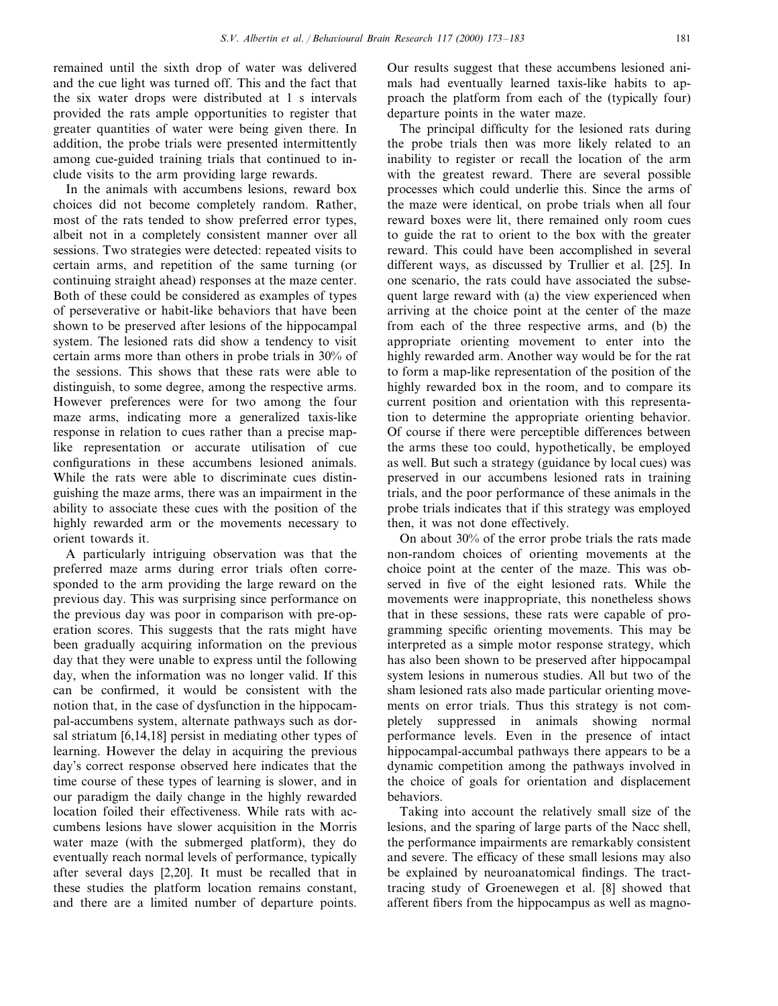remained until the sixth drop of water was delivered and the cue light was turned off. This and the fact that the six water drops were distributed at 1 s intervals provided the rats ample opportunities to register that greater quantities of water were being given there. In addition, the probe trials were presented intermittently among cue-guided training trials that continued to include visits to the arm providing large rewards.

In the animals with accumbens lesions, reward box choices did not become completely random. Rather, most of the rats tended to show preferred error types, albeit not in a completely consistent manner over all sessions. Two strategies were detected: repeated visits to certain arms, and repetition of the same turning (or continuing straight ahead) responses at the maze center. Both of these could be considered as examples of types of perseverative or habit-like behaviors that have been shown to be preserved after lesions of the hippocampal system. The lesioned rats did show a tendency to visit certain arms more than others in probe trials in 30% of the sessions. This shows that these rats were able to distinguish, to some degree, among the respective arms. However preferences were for two among the four maze arms, indicating more a generalized taxis-like response in relation to cues rather than a precise maplike representation or accurate utilisation of cue configurations in these accumbens lesioned animals. While the rats were able to discriminate cues distinguishing the maze arms, there was an impairment in the ability to associate these cues with the position of the highly rewarded arm or the movements necessary to orient towards it.

A particularly intriguing observation was that the preferred maze arms during error trials often corresponded to the arm providing the large reward on the previous day. This was surprising since performance on the previous day was poor in comparison with pre-operation scores. This suggests that the rats might have been gradually acquiring information on the previous day that they were unable to express until the following day, when the information was no longer valid. If this can be confirmed, it would be consistent with the notion that, in the case of dysfunction in the hippocampal-accumbens system, alternate pathways such as dorsal striatum [6,14,18] persist in mediating other types of learning. However the delay in acquiring the previous day's correct response observed here indicates that the time course of these types of learning is slower, and in our paradigm the daily change in the highly rewarded location foiled their effectiveness. While rats with accumbens lesions have slower acquisition in the Morris water maze (with the submerged platform), they do eventually reach normal levels of performance, typically after several days [2,20]. It must be recalled that in these studies the platform location remains constant, and there are a limited number of departure points.

Our results suggest that these accumbens lesioned animals had eventually learned taxis-like habits to approach the platform from each of the (typically four) departure points in the water maze.

The principal difficulty for the lesioned rats during the probe trials then was more likely related to an inability to register or recall the location of the arm with the greatest reward. There are several possible processes which could underlie this. Since the arms of the maze were identical, on probe trials when all four reward boxes were lit, there remained only room cues to guide the rat to orient to the box with the greater reward. This could have been accomplished in several different ways, as discussed by Trullier et al. [25]. In one scenario, the rats could have associated the subsequent large reward with (a) the view experienced when arriving at the choice point at the center of the maze from each of the three respective arms, and (b) the appropriate orienting movement to enter into the highly rewarded arm. Another way would be for the rat to form a map-like representation of the position of the highly rewarded box in the room, and to compare its current position and orientation with this representation to determine the appropriate orienting behavior. Of course if there were perceptible differences between the arms these too could, hypothetically, be employed as well. But such a strategy (guidance by local cues) was preserved in our accumbens lesioned rats in training trials, and the poor performance of these animals in the probe trials indicates that if this strategy was employed then, it was not done effectively.

On about 30% of the error probe trials the rats made non-random choices of orienting movements at the choice point at the center of the maze. This was observed in five of the eight lesioned rats. While the movements were inappropriate, this nonetheless shows that in these sessions, these rats were capable of programming specific orienting movements. This may be interpreted as a simple motor response strategy, which has also been shown to be preserved after hippocampal system lesions in numerous studies. All but two of the sham lesioned rats also made particular orienting movements on error trials. Thus this strategy is not completely suppressed in animals showing normal performance levels. Even in the presence of intact hippocampal-accumbal pathways there appears to be a dynamic competition among the pathways involved in the choice of goals for orientation and displacement behaviors.

Taking into account the relatively small size of the lesions, and the sparing of large parts of the Nacc shell, the performance impairments are remarkably consistent and severe. The efficacy of these small lesions may also be explained by neuroanatomical findings. The tracttracing study of Groenewegen et al. [8] showed that afferent fibers from the hippocampus as well as magno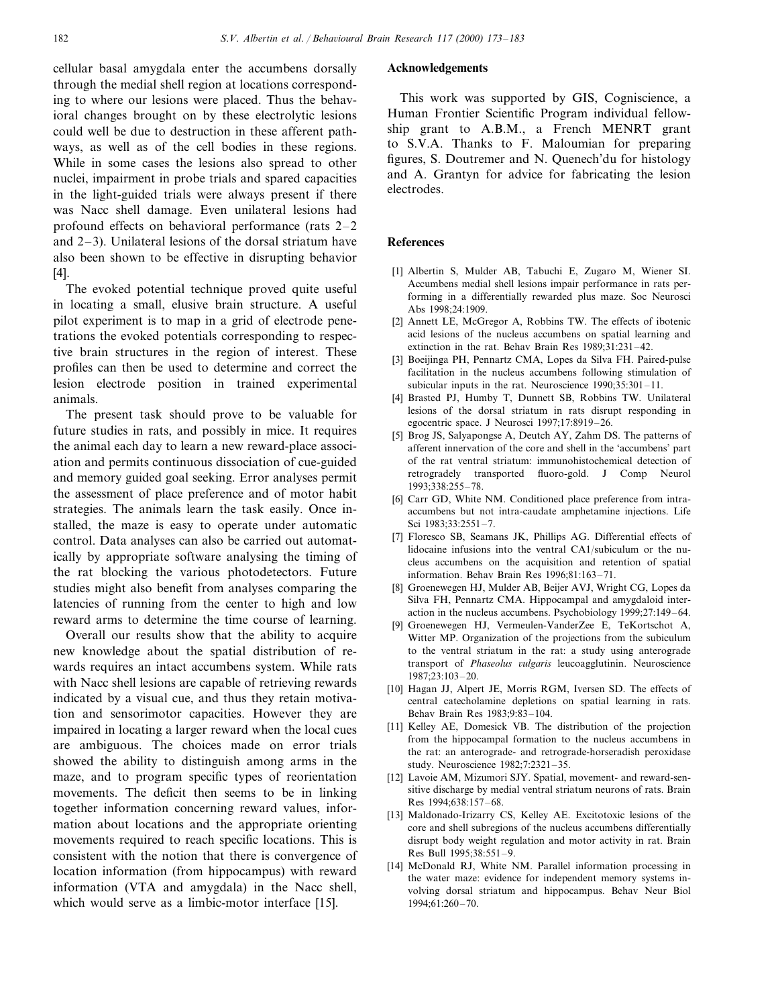cellular basal amygdala enter the accumbens dorsally through the medial shell region at locations corresponding to where our lesions were placed. Thus the behavioral changes brought on by these electrolytic lesions could well be due to destruction in these afferent pathways, as well as of the cell bodies in these regions. While in some cases the lesions also spread to other nuclei, impairment in probe trials and spared capacities in the light-guided trials were always present if there was Nacc shell damage. Even unilateral lesions had profound effects on behavioral performance (rats 2–2 and 2–3). Unilateral lesions of the dorsal striatum have also been shown to be effective in disrupting behavior [4].

The evoked potential technique proved quite useful in locating a small, elusive brain structure. A useful pilot experiment is to map in a grid of electrode penetrations the evoked potentials corresponding to respective brain structures in the region of interest. These profiles can then be used to determine and correct the lesion electrode position in trained experimental animals.

The present task should prove to be valuable for future studies in rats, and possibly in mice. It requires the animal each day to learn a new reward-place association and permits continuous dissociation of cue-guided and memory guided goal seeking. Error analyses permit the assessment of place preference and of motor habit strategies. The animals learn the task easily. Once installed, the maze is easy to operate under automatic control. Data analyses can also be carried out automatically by appropriate software analysing the timing of the rat blocking the various photodetectors. Future studies might also benefit from analyses comparing the latencies of running from the center to high and low reward arms to determine the time course of learning.

Overall our results show that the ability to acquire new knowledge about the spatial distribution of rewards requires an intact accumbens system. While rats with Nacc shell lesions are capable of retrieving rewards indicated by a visual cue, and thus they retain motivation and sensorimotor capacities. However they are impaired in locating a larger reward when the local cues are ambiguous. The choices made on error trials showed the ability to distinguish among arms in the maze, and to program specific types of reorientation movements. The deficit then seems to be in linking together information concerning reward values, information about locations and the appropriate orienting movements required to reach specific locations. This is consistent with the notion that there is convergence of location information (from hippocampus) with reward information (VTA and amygdala) in the Nacc shell, which would serve as a limbic-motor interface [15].

### **Acknowledgements**

This work was supported by GIS, Cogniscience, a Human Frontier Scientific Program individual fellowship grant to A.B.M., a French MENRT grant to S.V.A. Thanks to F. Maloumian for preparing figures, S. Doutremer and N. Quenech'du for histology and A. Grantyn for advice for fabricating the lesion electrodes.

#### **References**

- [1] Albertin S, Mulder AB, Tabuchi E, Zugaro M, Wiener SI. Accumbens medial shell lesions impair performance in rats performing in a differentially rewarded plus maze. Soc Neurosci Abs 1998;24:1909.
- [2] Annett LE, McGregor A, Robbins TW. The effects of ibotenic acid lesions of the nucleus accumbens on spatial learning and extinction in the rat. Behav Brain Res 1989;31:231–42.
- [3] Boeijinga PH, Pennartz CMA, Lopes da Silva FH. Paired-pulse facilitation in the nucleus accumbens following stimulation of subicular inputs in the rat. Neuroscience 1990;35:301–11.
- [4] Brasted PJ, Humby T, Dunnett SB, Robbins TW. Unilateral lesions of the dorsal striatum in rats disrupt responding in egocentric space. J Neurosci 1997;17:8919–26.
- [5] Brog JS, Salyapongse A, Deutch AY, Zahm DS. The patterns of afferent innervation of the core and shell in the 'accumbens' part of the rat ventral striatum: immunohistochemical detection of retrogradely transported fluoro-gold. J Comp Neurol 1993;338:255–78.
- [6] Carr GD, White NM. Conditioned place preference from intraaccumbens but not intra-caudate amphetamine injections. Life Sci 1983;33:2551–7.
- [7] Floresco SB, Seamans JK, Phillips AG. Differential effects of lidocaine infusions into the ventral CA1/subiculum or the nucleus accumbens on the acquisition and retention of spatial information. Behav Brain Res 1996;81:163–71.
- [8] Groenewegen HJ, Mulder AB, Beijer AVJ, Wright CG, Lopes da Silva FH, Pennartz CMA. Hippocampal and amygdaloid interaction in the nucleus accumbens. Psychobiology 1999;27:149–64.
- [9] Groenewegen HJ, Vermeulen-VanderZee E, TeKortschot A, Witter MP. Organization of the projections from the subiculum to the ventral striatum in the rat: a study using anterograde transport of *Phaseolus vulgaris* leucoagglutinin. Neuroscience 1987;23:103–20.
- [10] Hagan JJ, Alpert JE, Morris RGM, Iversen SD. The effects of central catecholamine depletions on spatial learning in rats. Behav Brain Res 1983;9:83–104.
- [11] Kelley AE, Domesick VB. The distribution of the projection from the hippocampal formation to the nucleus accumbens in the rat: an anterograde- and retrograde-horseradish peroxidase study. Neuroscience 1982;7:2321–35.
- [12] Lavoie AM, Mizumori SJY. Spatial, movement- and reward-sensitive discharge by medial ventral striatum neurons of rats. Brain Res 1994;638:157–68.
- [13] Maldonado-Irizarry CS, Kelley AE. Excitotoxic lesions of the core and shell subregions of the nucleus accumbens differentially disrupt body weight regulation and motor activity in rat. Brain Res Bull 1995;38:551–9.
- [14] McDonald RJ, White NM. Parallel information processing in the water maze: evidence for independent memory systems involving dorsal striatum and hippocampus. Behav Neur Biol 1994;61:260–70.